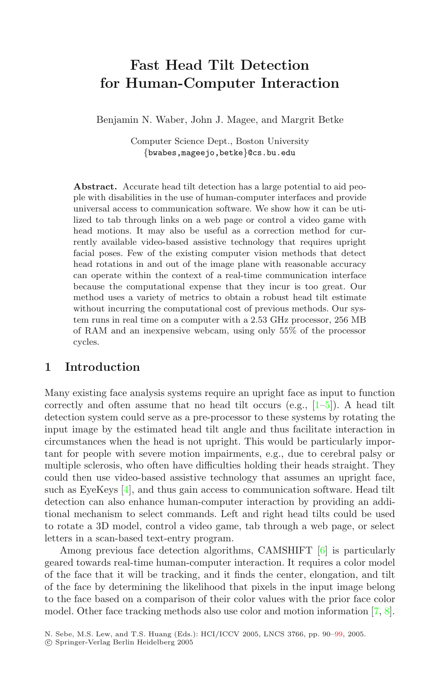# **Fast Head Tilt Detection for Human-Computer Interaction**

Benjamin N. Waber, John J. Magee, and Margrit Betke

Computer Science Dept., Boston University *{*bwabes,mageejo,betke*}*@cs.bu.edu

**Abstract.** Accurate head tilt detection has a large potential to aid people with disabilities in the use of human-computer interfaces and provide universal access to communication software. We show how it can be utilized to tab through links on a web page or control a video game with head motions. It may also be useful as a correction method for currently available video-based assistive technology that requires upright facial poses. Few of the existing computer vision methods that detect head rotations in and out of the image plane with reasonable accuracy can operate within the context of a real-time communication interface because the computational expense that they incur is too great. Our method uses a variety of metrics to obtain a robust head tilt estimate without incurring the computational cost of previous methods. Our system runs in real time on a computer with a 2.53 GHz processor, 256 MB of RAM and an inexpensive webcam, using only 55% of the processor cycles.

# **1 Introduction**

Many existing face analysis systems require an upright face as input to function correctly and often assume that no head tilt occurs  $(e.g., [1-5])$  $(e.g., [1-5])$  $(e.g., [1-5])$ . A head tilt detection system could serve as a pre-processor to these systems by rotating the input image by the estimated head tilt angle and thus facilitate interaction in circumstances when the head is not upright. This would be particularly important for people with severe motion impairments, e.g., due to cerebral palsy or multiple sclerosis, who often have difficulties holding their heads straight. They could then use video-based assistive technology that assumes an upright face, such as EyeKeys [\[4](#page-9-2)], and thus gain access to communication software. Head tilt detection can also enhance human-computer interaction by providing an additional mechanism to select commands. Left and right head tilts could be used to rotate a 3D model, control a video game, tab through a web page, or select letters in a scan-based text-entry program.

Among previous face detection algorithms, CAMSHIFT [\[6\]](#page-9-3) is particularly geared towards real-time human-computer interaction. It requires a color model of the face that it will be tracking, and it finds the center, elongation, and tilt of the face by determining the likelihood that pixels in the input image belong to the face based on a comparison of their color values with the prior face color model. Other face tracking methods also use color and motion information [\[7,](#page-9-4) [8](#page-9-5)].

N. Sebe, M.S. Lew, and T.S. Huang (Eds.): HCI/ICCV 2005, LNCS 3766, pp. 90[–99,](#page-9-6) 2005.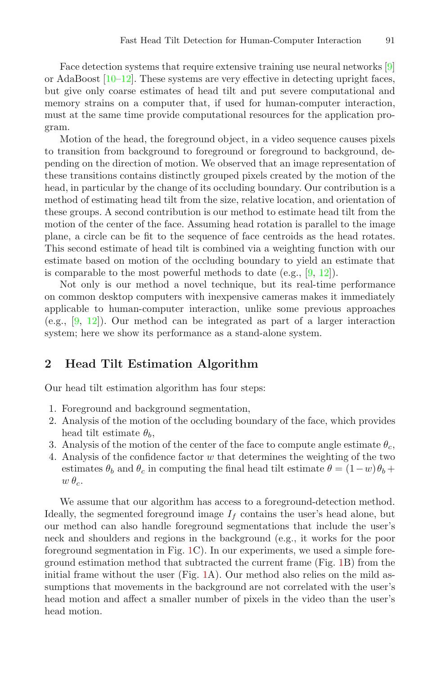Face detection systems that require extensive training use neural networks [\[9](#page-9-7)] or AdaBoost  $[10-12]$  $[10-12]$ . These systems are very effective in detecting upright faces, but give only coarse estimates of head tilt and put severe computational and memory strains on a computer that, if used for human-computer interaction, must at the same time provide computational resources for the application program.

Motion of the head, the foreground object, in a video sequence causes pixels to transition from background to foreground or foreground to background, depending on the direction of motion. We observed that an image representation of these transitions contains distinctly grouped pixels created by the motion of the head, in particular by the change of its occluding boundary. Our contribution is a method of estimating head tilt from the size, relative location, and orientation of these groups. A second contribution is our method to estimate head tilt from the motion of the center of the face. Assuming head rotation is parallel to the image plane, a circle can be fit to the sequence of face centroids as the head rotates. This second estimate of head tilt is combined via a weighting function with our estimate based on motion of the occluding boundary to yield an estimate that is comparable to the most powerful methods to date (e.g.,  $[9, 12]$  $[9, 12]$  $[9, 12]$ ).

Not only is our method a novel technique, but its real-time performance on common desktop computers with inexpensive cameras makes it immediately applicable to human-computer interaction, unlike some previous approaches (e.g.,  $[9, 12]$  $[9, 12]$  $[9, 12]$ ). Our method can be integrated as part of a larger interaction system; here we show its performance as a stand-alone system.

# **2 Head Tilt Estimation Algorithm**

Our head tilt estimation algorithm has four steps:

- 1. Foreground and background segmentation,
- 2. Analysis of the motion of the occluding boundary of the face, which provides head tilt estimate  $\theta_b$ ,
- 3. Analysis of the motion of the center of the face to compute angle estimate  $\theta_c$ ,
- 4. Analysis of the confidence factor w that determines the weighting of the two estimates  $\theta_b$  and  $\theta_c$  in computing the final head tilt estimate  $\theta = (1-w)\theta_b +$  $w \theta_c$ .

We assume that our algorithm has access to a foreground-detection method. Ideally, the segmented foreground image  $I_f$  contains the user's head alone, but our method can also handle foreground segmentations that include the user's neck and shoulders and regions in the background (e.g., it works for the poor foreground segmentation in Fig. [1C](#page-2-0)). In our experiments, we used a simple foreground estimation method that subtracted the current frame (Fig. [1B](#page-2-0)) from the initial frame without the user (Fig. [1A](#page-2-0)). Our method also relies on the mild assumptions that movements in the background are not correlated with the user's head motion and affect a smaller number of pixels in the video than the user's head motion.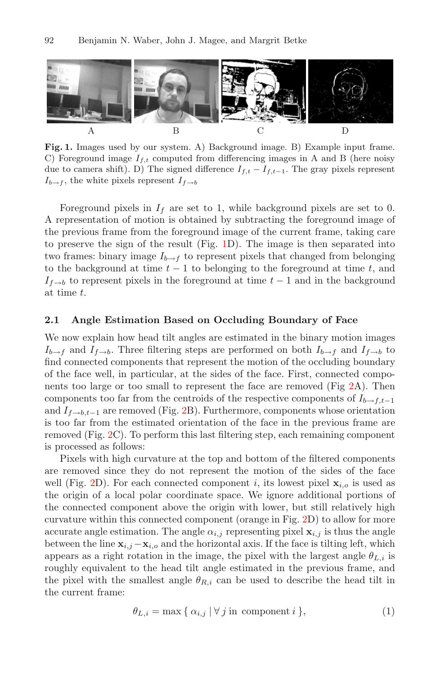

**Fig. 1.** Images used by our system. A) Background image. B) Example input frame. C) Foreground image I*f,t* computed from differencing images in A and B (here noisy due to camera shift). D) The signed difference I*f,t −* I*f,t*−<sup>1</sup>. The gray pixels represent  $I_{b\rightarrow f}$ , the white pixels represent  $I_{f\rightarrow b}$ 

<span id="page-2-0"></span>Foreground pixels in  $I_f$  are set to 1, while background pixels are set to 0. A representation of motion is obtained by subtracting the foreground image of the previous frame from the foreground image of the current frame, taking care to preserve the sign of the result (Fig. [1D](#page-2-0)). The image is then separated into two frames: binary image  $I_{b\to f}$  to represent pixels that changed from belonging to the background at time  $t - 1$  to belonging to the foreground at time t, and  $I_{f\rightarrow b}$  to represent pixels in the foreground at time  $t-1$  and in the background at time t.

#### **2.1 Angle Estimation Based on Occluding Boundary of Face**

We now explain how head tilt angles are estimated in the binary motion images  $I_{b\rightarrow f}$  and  $I_{f\rightarrow b}$ . Three filtering steps are performed on both  $I_{b\rightarrow f}$  and  $I_{f\rightarrow b}$  to find connected components that represent the motion of the occluding boundary of the face well, in particular, at the sides of the face. First, connected components too large or too small to represent the face are removed (Fig [2A](#page-3-0)). Then components too far from the centroids of the respective components of I*<sup>b</sup>*→*f,t*−<sup>1</sup> and I*<sup>f</sup>*→*b,t*−<sup>1</sup> are removed (Fig. [2B](#page-3-0)). Furthermore, components whose orientation is too far from the estimated orientation of the face in the previous frame are removed (Fig. [2C](#page-3-0)). To perform this last filtering step, each remaining component is processed as follows:

Pixels with high curvature at the top and bottom of the filtered components are removed since they do not represent the motion of the sides of the face well (Fig. [2D](#page-3-0)). For each connected component i, its lowest pixel  $\mathbf{x}_{i,o}$  is used as the origin of a local polar coordinate space. We ignore additional portions of the connected component above the origin with lower, but still relatively high curvature within this connected component (orange in Fig. [2D](#page-3-0)) to allow for more accurate angle estimation. The angle  $\alpha_{i,j}$  representing pixel  $\mathbf{x}_{i,j}$  is thus the angle between the line  $\mathbf{x}_{i,j} - \mathbf{x}_{i,o}$  and the horizontal axis. If the face is tilting left, which appears as a right rotation in the image, the pixel with the largest angle  $\theta_{L,i}$  is roughly equivalent to the head tilt angle estimated in the previous frame, and the pixel with the smallest angle  $\theta_{R,i}$  can be used to describe the head tilt in the current frame:

$$
\theta_{L,i} = \max\left\{ \alpha_{i,j} \mid \forall j \text{ in component } i \right\},\tag{1}
$$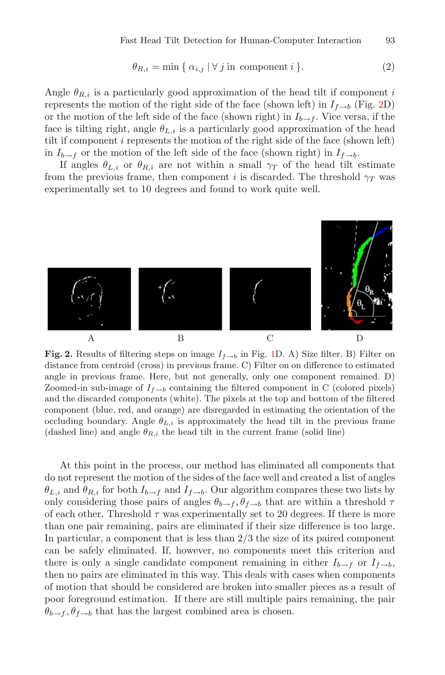$$
\theta_{R,i} = \min \{ \alpha_{i,j} \mid \forall j \text{ in component } i \}. \tag{2}
$$

Angle  $\theta_{R,i}$  is a particularly good approximation of the head tilt if component i represents the motion of the right side of the face (shown left) in  $I_{f\rightarrow b}$  (Fig. [2D](#page-3-0)) or the motion of the left side of the face (shown right) in  $I_{b\rightarrow f}$ . Vice versa, if the face is tilting right, angle  $\theta_{L,i}$  is a particularly good approximation of the head tilt if component i represents the motion of the right side of the face (shown left) in  $I_{b\rightarrow f}$  or the motion of the left side of the face (shown right) in  $I_{f\rightarrow b}$ .

If angles  $\theta_{L,i}$  or  $\theta_{R,i}$  are not within a small  $\gamma_T$  of the head tilt estimate from the previous frame, then component i is discarded. The threshold  $\gamma_T$  was experimentally set to 10 degrees and found to work quite well.



<span id="page-3-0"></span>**Fig. 2.** Results of filtering steps on image  $I_{f\rightarrow b}$  in Fig. [1D](#page-2-0). A) Size filter. B) Filter on distance from centroid (cross) in previous frame. C) Filter on on difference to estimated angle in previous frame. Here, but not generally, only one component remained. D) Zoomed-in sub-image of  $I_{f\rightarrow b}$  containing the filtered component in C (colored pixels) and the discarded components (white). The pixels at the top and bottom of the filtered component (blue, red, and orange) are disregarded in estimating the orientation of the occluding boundary. Angle  $\theta_{L,i}$  is approximately the head tilt in the previous frame (dashed line) and angle  $\theta_{R,i}$  the head tilt in the current frame (solid line)

At this point in the process, our method has eliminated all components that do not represent the motion of the sides of the face well and created a list of angles  $\theta_{L,i}$  and  $\theta_{R,i}$  for both  $I_{b\to f}$  and  $I_{f\to b}$ . Our algorithm compares these two lists by only considering those pairs of angles  $\theta_{b\to f}$ ,  $\theta_{f\to b}$  that are within a threshold  $\tau$ of each other. Threshold  $\tau$  was experimentally set to 20 degrees. If there is more than one pair remaining, pairs are eliminated if their size difference is too large. In particular, a component that is less than 2/3 the size of its paired component can be safely eliminated. If, however, no components meet this criterion and there is only a single candidate component remaining in either  $I_{b\rightarrow f}$  or  $I_{f\rightarrow b}$ , then no pairs are eliminated in this way. This deals with cases when components of motion that should be considered are broken into smaller pieces as a result of poor foreground estimation. If there are still multiple pairs remaining, the pair  $\theta_{b \to f}, \theta_{f \to b}$  that has the largest combined area is chosen.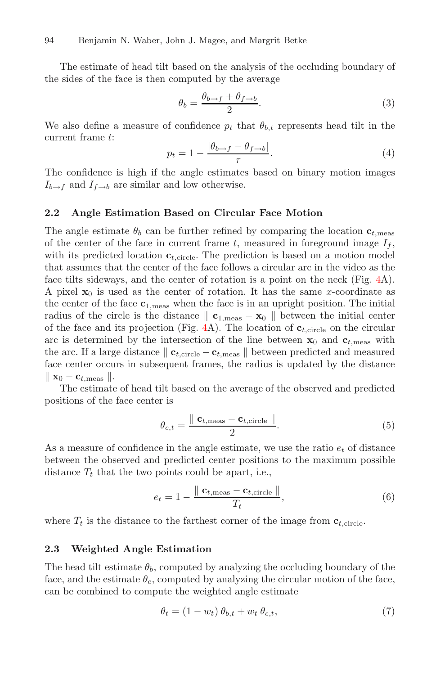The estimate of head tilt based on the analysis of the occluding boundary of the sides of the face is then computed by the average

$$
\theta_b = \frac{\theta_{b \to f} + \theta_{f \to b}}{2}.\tag{3}
$$

We also define a measure of confidence  $p_t$  that  $\theta_{b,t}$  represents head tilt in the current frame t:

$$
p_t = 1 - \frac{|\theta_{b \to f} - \theta_{f \to b}|}{\tau}.
$$
\n<sup>(4)</sup>

The confidence is high if the angle estimates based on binary motion images  $I_{b\rightarrow f}$  and  $I_{f\rightarrow b}$  are similar and low otherwise.

#### **2.2 Angle Estimation Based on Circular Face Motion**

The angle estimate  $\theta_b$  can be further refined by comparing the location  $\mathbf{c}_{t,\text{meas}}$ of the center of the face in current frame  $t$ , measured in foreground image  $I_f$ , with its predicted location  $c_{t,\text{circle}}$ . The prediction is based on a motion model that assumes that the center of the face follows a circular arc in the video as the face tilts sideways, and the center of rotation is a point on the neck (Fig. [4A](#page-6-0)). A pixel  $\mathbf{x}_0$  is used as the center of rotation. It has the same x-coordinate as the center of the face  $c_{1,\text{meas}}$  when the face is in an upright position. The initial radius of the circle is the distance  $\| \mathbf{c}_{1,\text{meas}} - \mathbf{x}_0 \|$  between the initial center of the face and its projection (Fig. [4A](#page-6-0)). The location of  $c_{t,\text{circle}}$  on the circular arc is determined by the intersection of the line between  $\mathbf{x}_0$  and  $\mathbf{c}_{t,\text{meas}}$  with the arc. If a large distance  $\|$  **c**<sub>*t*</sub>,circle</sub> – **c**<sub>*t*</sub>,meas  $\|$  between predicted and measured face center occurs in subsequent frames, the radius is updated by the distance  $\parallel \mathbf{x}_0 - \mathbf{c}_{t,\text{meas}} \parallel$ .

The estimate of head tilt based on the average of the observed and predicted positions of the face center is

$$
\theta_{c,t} = \frac{\parallel \mathbf{c}_{t,\text{meas}} - \mathbf{c}_{t,\text{circle}} \parallel}{2}.
$$
\n(5)

As a measure of confidence in the angle estimate, we use the ratio e*<sup>t</sup>* of distance between the observed and predicted center positions to the maximum possible distance  $T_t$  that the two points could be apart, i.e.,

$$
e_t = 1 - \frac{\parallel \mathbf{c}_{t,\text{meas}} - \mathbf{c}_{t,\text{circle}} \parallel}{T_t},\tag{6}
$$

where  $T_t$  is the distance to the farthest corner of the image from  $\mathbf{c}_{t,\text{circle}}$ .

#### **2.3 Weighted Angle Estimation**

<span id="page-4-0"></span>The head tilt estimate  $\theta_b$ , computed by analyzing the occluding boundary of the face, and the estimate  $\theta_c$ , computed by analyzing the circular motion of the face, can be combined to compute the weighted angle estimate

$$
\theta_t = (1 - w_t) \theta_{b,t} + w_t \theta_{c,t}, \qquad (7)
$$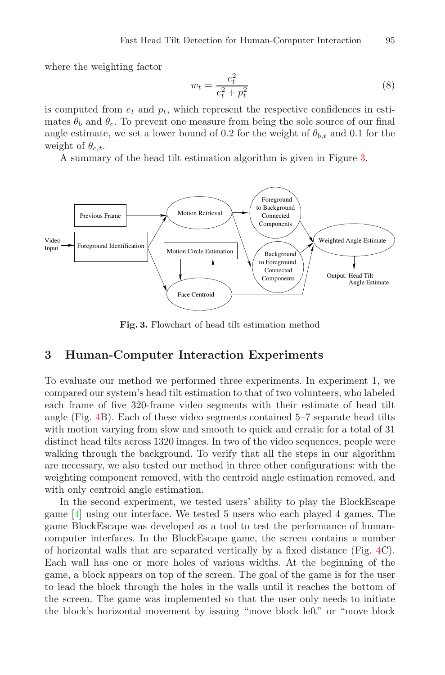where the weighting factor

$$
w_t = \frac{e_t^2}{e_t^2 + p_t^2} \tag{8}
$$

is computed from  $e_t$  and  $p_t$ , which represent the respective confidences in estimates  $\theta_b$  and  $\theta_c$ . To prevent one measure from being the sole source of our final angle estimate, we set a lower bound of 0.2 for the weight of  $\theta_{b,t}$  and 0.1 for the weight of  $\theta_{c,t}$ .

A summary of the head tilt estimation algorithm is given in Figure [3.](#page-5-0)



**Fig. 3.** Flowchart of head tilt estimation method

# <span id="page-5-0"></span>**3 Human-Computer Interaction Experiments**

To evaluate our method we performed three experiments. In experiment 1, we compared our system's head tilt estimation to that of two volunteers, who labeled each frame of five 320-frame video segments with their estimate of head tilt angle (Fig. [4B](#page-6-0)). Each of these video segments contained 5–7 separate head tilts with motion varying from slow and smooth to quick and erratic for a total of 31 distinct head tilts across 1320 images. In two of the video sequences, people were walking through the background. To verify that all the steps in our algorithm are necessary, we also tested our method in three other configurations: with the weighting component removed, with the centroid angle estimation removed, and with only centroid angle estimation.

In the second experiment, we tested users' ability to play the BlockEscape game [\[4](#page-9-2)] using our interface. We tested 5 users who each played 4 games. The game BlockEscape was developed as a tool to test the performance of humancomputer interfaces. In the BlockEscape game, the screen contains a number of horizontal walls that are separated vertically by a fixed distance (Fig. [4C](#page-6-0)). Each wall has one or more holes of various widths. At the beginning of the game, a block appears on top of the screen. The goal of the game is for the user to lead the block through the holes in the walls until it reaches the bottom of the screen. The game was implemented so that the user only needs to initiate the block's horizontal movement by issuing "move block left" or "move block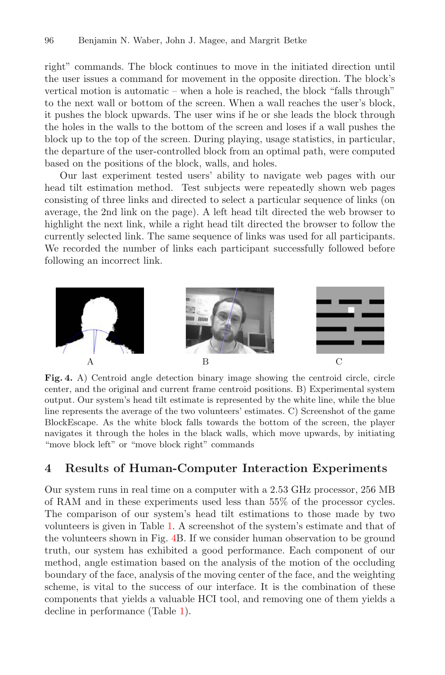right" commands. The block continues to move in the initiated direction until the user issues a command for movement in the opposite direction. The block's vertical motion is automatic – when a hole is reached, the block "falls through" to the next wall or bottom of the screen. When a wall reaches the user's block, it pushes the block upwards. The user wins if he or she leads the block through the holes in the walls to the bottom of the screen and loses if a wall pushes the block up to the top of the screen. During playing, usage statistics, in particular, the departure of the user-controlled block from an optimal path, were computed based on the positions of the block, walls, and holes.

Our last experiment tested users' ability to navigate web pages with our head tilt estimation method. Test subjects were repeatedly shown web pages consisting of three links and directed to select a particular sequence of links (on average, the 2nd link on the page). A left head tilt directed the web browser to highlight the next link, while a right head tilt directed the browser to follow the currently selected link. The same sequence of links was used for all participants. We recorded the number of links each participant successfully followed before following an incorrect link.



Fig. 4. A) Centroid angle detection binary image showing the centroid circle, circle center, and the original and current frame centroid positions. B) Experimental system output. Our system's head tilt estimate is represented by the white line, while the blue line represents the average of the two volunteers' estimates. C) Screenshot of the game BlockEscape. As the white block falls towards the bottom of the screen, the player navigates it through the holes in the black walls, which move upwards, by initiating "move block left" or "move block right" commands

#### <span id="page-6-0"></span>**4 Results of Human-Computer Interaction Experiments**

Our system runs in real time on a computer with a 2.53 GHz processor, 256 MB of RAM and in these experiments used less than 55% of the processor cycles. The comparison of our system's head tilt estimations to those made by two volunteers is given in Table [1.](#page-7-0) A screenshot of the system's estimate and that of the volunteers shown in Fig. [4B](#page-6-0). If we consider human observation to be ground truth, our system has exhibited a good performance. Each component of our method, angle estimation based on the analysis of the motion of the occluding boundary of the face, analysis of the moving center of the face, and the weighting scheme, is vital to the success of our interface. It is the combination of these components that yields a valuable HCI tool, and removing one of them yields a decline in performance (Table [1\)](#page-7-0).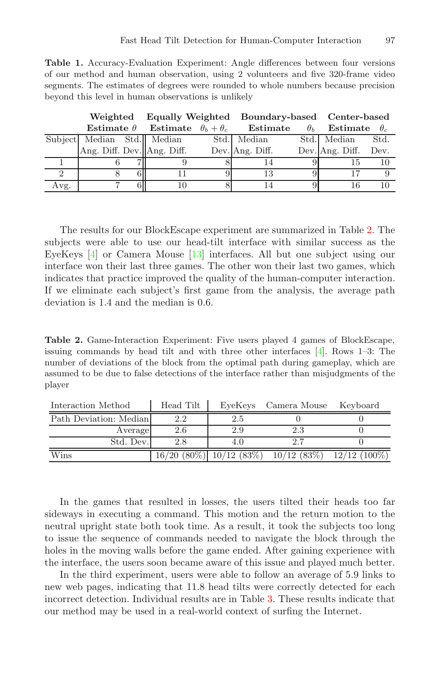<span id="page-7-0"></span>

| <b>Table 1.</b> Accuracy-Evaluation Experiment: Angle differences between four versions |
|-----------------------------------------------------------------------------------------|
| of our method and human observation, using 2 volunteers and five 320-frame video        |
| segments. The estimates of degrees were rounded to whole numbers because precision      |
| beyond this level in human observations is unlikely                                     |

|          |  |    | Weighted Equally Weighted Boundary-based Center-based |                                                           |                 |                                |                      |      |
|----------|--|----|-------------------------------------------------------|-----------------------------------------------------------|-----------------|--------------------------------|----------------------|------|
|          |  |    |                                                       | Estimate $\theta$ Estimate $\theta_b + \theta_c$ Estimate |                 | $\theta_h$ Estimate $\theta_c$ |                      |      |
|          |  |    | Subject Median Std. Median                            |                                                           | Std. Median     |                                | Std. Median          | Std. |
|          |  |    | Ang. Diff. Dev. Ang. Diff.                            |                                                           | Dev. Ang. Diff. |                                | Dev. Ang. Diff. Dev. |      |
|          |  |    |                                                       |                                                           |                 |                                | 15                   |      |
| $\Omega$ |  | 61 |                                                       |                                                           | 13              |                                |                      |      |
| Avg.     |  | 61 |                                                       |                                                           |                 |                                |                      |      |

The results for our BlockEscape experiment are summarized in Table [2.](#page-7-1) The subjects were able to use our head-tilt interface with similar success as the EyeKeys [\[4](#page-9-2)] or Camera Mouse [\[13](#page-9-10)] interfaces. All but one subject using our interface won their last three games. The other won their last two games, which indicates that practice improved the quality of the human-computer interaction. If we eliminate each subject's first game from the analysis, the average path deviation is 1.4 and the median is 0.6.

<span id="page-7-1"></span>**Table 2.** Game-Interaction Experiment: Five users played 4 games of BlockEscape, issuing commands by head tilt and with three other interfaces [\[4](#page-9-2)]. Rows 1–3: The number of deviations of the block from the optimal path during gameplay, which are assumed to be due to false detections of the interface rather than misjudgments of the player

| Interaction Method     | Head Tilt |                             | EyeKeys Camera Mouse Keyboard |                |
|------------------------|-----------|-----------------------------|-------------------------------|----------------|
| Path Deviation: Median | 2.2       | 2.5                         |                               |                |
| Average                | 2.6       | 2.9                         | 2.3                           |                |
| Std. Dev.              | 2.8       |                             | 27                            |                |
| Wins                   |           | $16/20$ (80%) $10/12$ (83%) | $10/12$ (83\%)                | $12/12(100\%)$ |

In the games that resulted in losses, the users tilted their heads too far sideways in executing a command. This motion and the return motion to the neutral upright state both took time. As a result, it took the subjects too long to issue the sequence of commands needed to navigate the block through the holes in the moving walls before the game ended. After gaining experience with the interface, the users soon became aware of this issue and played much better.

In the third experiment, users were able to follow an average of 5.9 links to new web pages, indicating that 11.8 head tilts were correctly detected for each incorrect detection. Individual results are in Table [3.](#page-8-0) These results indicate that our method may be used in a real-world context of surfing the Internet.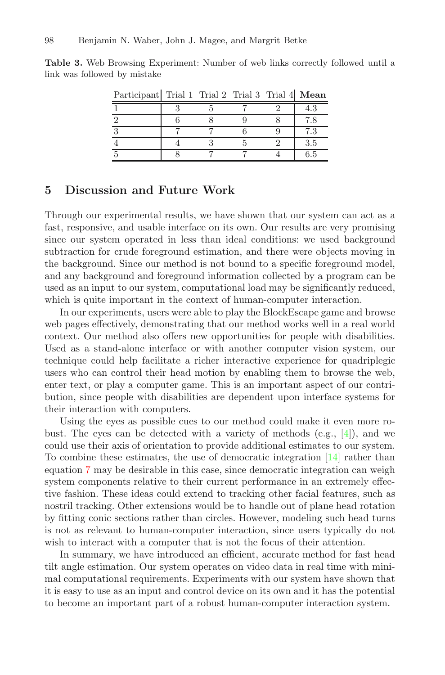| Participant Trial 1 Trial 2 Trial 3 Trial 4 Mean |  |  |         |
|--------------------------------------------------|--|--|---------|
|                                                  |  |  |         |
|                                                  |  |  |         |
|                                                  |  |  |         |
|                                                  |  |  | $3.5\,$ |
|                                                  |  |  | 6.5     |

<span id="page-8-0"></span>**Table 3.** Web Browsing Experiment: Number of web links correctly followed until a link was followed by mistake

#### **5 Discussion and Future Work**

Through our experimental results, we have shown that our system can act as a fast, responsive, and usable interface on its own. Our results are very promising since our system operated in less than ideal conditions: we used background subtraction for crude foreground estimation, and there were objects moving in the background. Since our method is not bound to a specific foreground model, and any background and foreground information collected by a program can be used as an input to our system, computational load may be significantly reduced, which is quite important in the context of human-computer interaction.

In our experiments, users were able to play the BlockEscape game and browse web pages effectively, demonstrating that our method works well in a real world context. Our method also offers new opportunities for people with disabilities. Used as a stand-alone interface or with another computer vision system, our technique could help facilitate a richer interactive experience for quadriplegic users who can control their head motion by enabling them to browse the web, enter text, or play a computer game. This is an important aspect of our contribution, since people with disabilities are dependent upon interface systems for their interaction with computers.

Using the eyes as possible cues to our method could make it even more robust. The eyes can be detected with a variety of methods (e.g., [\[4](#page-9-2)]), and we could use their axis of orientation to provide additional estimates to our system. To combine these estimates, the use of democratic integration [\[14](#page-9-11)] rather than equation [7](#page-4-0) may be desirable in this case, since democratic integration can weigh system components relative to their current performance in an extremely effective fashion. These ideas could extend to tracking other facial features, such as nostril tracking. Other extensions would be to handle out of plane head rotation by fitting conic sections rather than circles. However, modeling such head turns is not as relevant to human-computer interaction, since users typically do not wish to interact with a computer that is not the focus of their attention.

In summary, we have introduced an efficient, accurate method for fast head tilt angle estimation. Our system operates on video data in real time with minimal computational requirements. Experiments with our system have shown that it is easy to use as an input and control device on its own and it has the potential to become an important part of a robust human-computer interaction system.